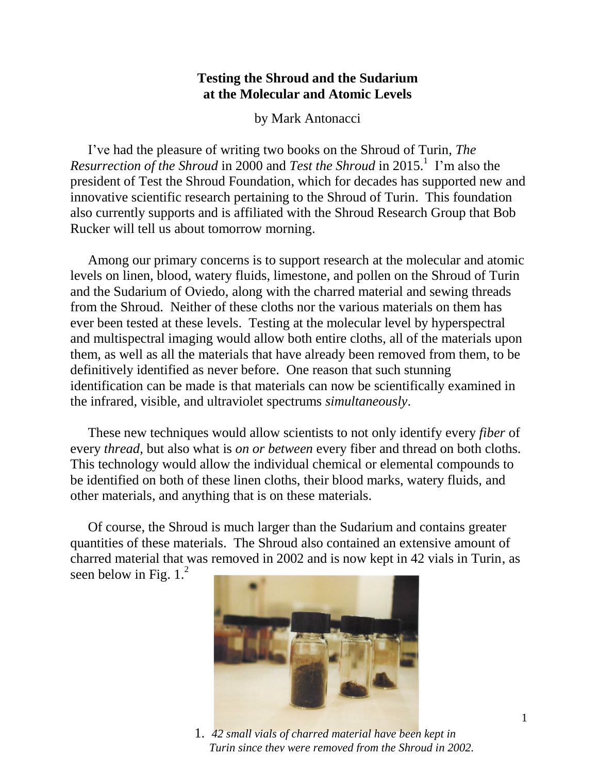## **Testing the Shroud and the Sudarium at the Molecular and Atomic Levels**

by Mark Antonacci

I've had the pleasure of writing two books on the Shroud of Turin, *The Resurrection of the Shroud* in 2000 and *Test the Shroud* in 2015.<sup>1</sup> I'm also the president of Test the Shroud Foundation, which for decades has supported new and innovative scientific research pertaining to the Shroud of Turin. This foundation also currently supports and is affiliated with the Shroud Research Group that Bob Rucker will tell us about tomorrow morning.

Among our primary concerns is to support research at the molecular and atomic levels on linen, blood, watery fluids, limestone, and pollen on the Shroud of Turin and the Sudarium of Oviedo, along with the charred material and sewing threads from the Shroud. Neither of these cloths nor the various materials on them has ever been tested at these levels. Testing at the molecular level by hyperspectral and multispectral imaging would allow both entire cloths, all of the materials upon them, as well as all the materials that have already been removed from them, to be definitively identified as never before. One reason that such stunning identification can be made is that materials can now be scientifically examined in the infrared, visible, and ultraviolet spectrums *simultaneously*.

These new techniques would allow scientists to not only identify every *fiber* of every *thread*, but also what is *on or between* every fiber and thread on both cloths. This technology would allow the individual chemical or elemental compounds to be identified on both of these linen cloths, their blood marks, watery fluids, and other materials, and anything that is on these materials.

Of course, the Shroud is much larger than the Sudarium and contains greater quantities of these materials. The Shroud also contained an extensive amount of charred material that was removed in 2002 and is now kept in 42 vials in Turin, as seen below in Fig.  $1.^2$ 



1. *42 small vials of charred material have been kept in Turin since they were removed from the Shroud in 2002.*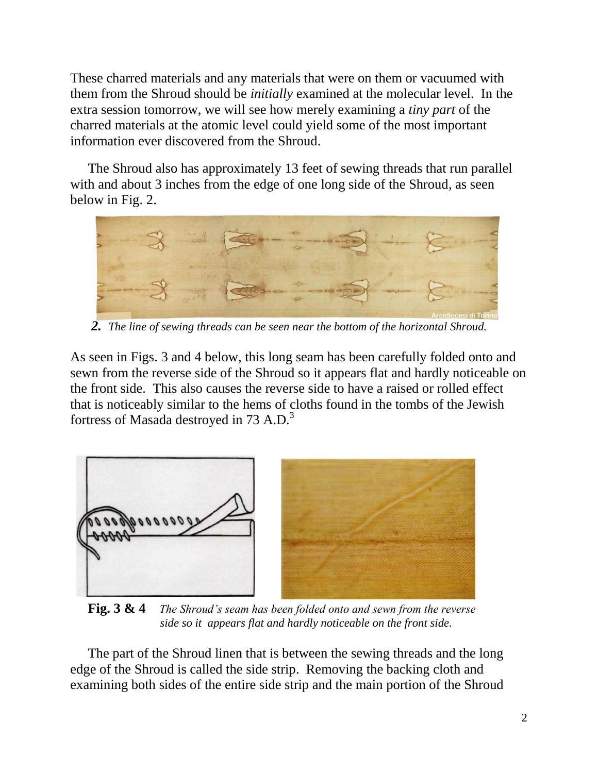These charred materials and any materials that were on them or vacuumed with them from the Shroud should be *initially* examined at the molecular level. In the extra session tomorrow, we will see how merely examining a *tiny part* of the charred materials at the atomic level could yield some of the most important information ever discovered from the Shroud.

The Shroud also has approximately 13 feet of sewing threads that run parallel with and about 3 inches from the edge of one long side of the Shroud, as seen below in Fig. 2.



*2. The line of sewing threads can be seen near the bottom of the horizontal Shroud.*

As seen in Figs. 3 and 4 below, this long seam has been carefully folded onto and sewn from the reverse side of the Shroud so it appears flat and hardly noticeable on the front side. This also causes the reverse side to have a raised or rolled effect that is noticeably similar to the hems of cloths found in the tombs of the Jewish fortress of Masada destroyed in 73 A.D.<sup>3</sup>



**Fig. 3 & 4** *The Shroud's seam has been folded onto and sewn from the reverse*  *side so it appears flat and hardly noticeable on the front side.*

The part of the Shroud linen that is between the sewing threads and the long edge of the Shroud is called the side strip. Removing the backing cloth and examining both sides of the entire side strip and the main portion of the Shroud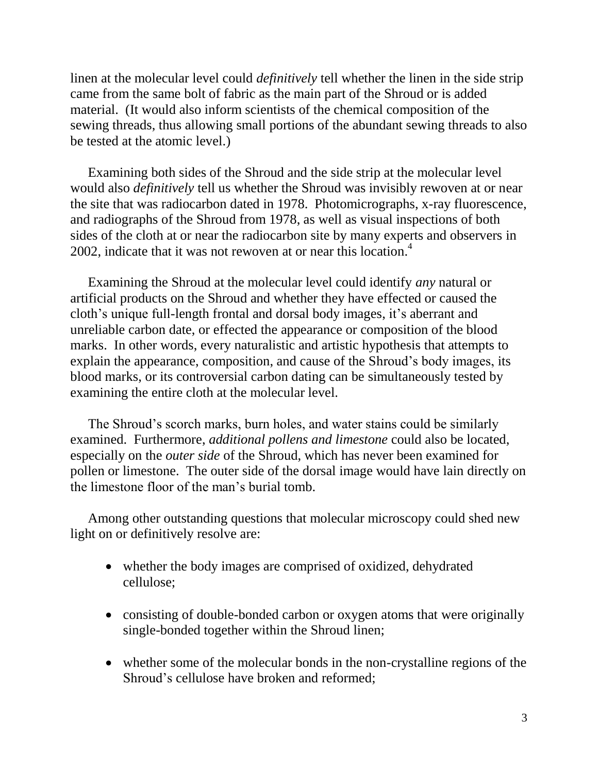linen at the molecular level could *definitively* tell whether the linen in the side strip came from the same bolt of fabric as the main part of the Shroud or is added material. (It would also inform scientists of the chemical composition of the sewing threads, thus allowing small portions of the abundant sewing threads to also be tested at the atomic level.)

Examining both sides of the Shroud and the side strip at the molecular level would also *definitively* tell us whether the Shroud was invisibly rewoven at or near the site that was radiocarbon dated in 1978. Photomicrographs, x-ray fluorescence, and radiographs of the Shroud from 1978, as well as visual inspections of both sides of the cloth at or near the radiocarbon site by many experts and observers in 2002, indicate that it was not rewoven at or near this location. 4

Examining the Shroud at the molecular level could identify *any* natural or artificial products on the Shroud and whether they have effected or caused the cloth's unique full-length frontal and dorsal body images, it's aberrant and unreliable carbon date, or effected the appearance or composition of the blood marks. In other words, every naturalistic and artistic hypothesis that attempts to explain the appearance, composition, and cause of the Shroud's body images, its blood marks, or its controversial carbon dating can be simultaneously tested by examining the entire cloth at the molecular level.

The Shroud's scorch marks, burn holes, and water stains could be similarly examined. Furthermore, *additional pollens and limestone* could also be located, especially on the *outer side* of the Shroud, which has never been examined for pollen or limestone. The outer side of the dorsal image would have lain directly on the limestone floor of the man's burial tomb.

Among other outstanding questions that molecular microscopy could shed new light on or definitively resolve are:

- whether the body images are comprised of oxidized, dehydrated cellulose;
- consisting of double-bonded carbon or oxygen atoms that were originally single-bonded together within the Shroud linen;
- whether some of the molecular bonds in the non-crystalline regions of the Shroud's cellulose have broken and reformed;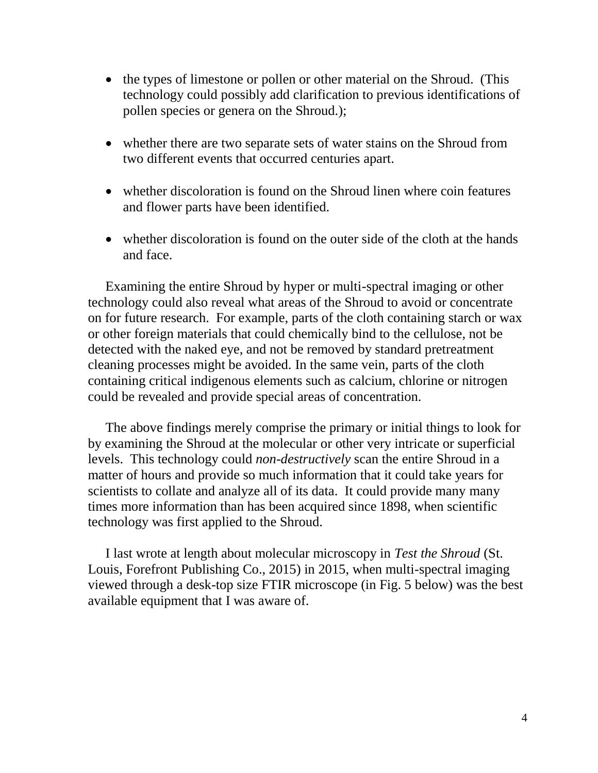- the types of limestone or pollen or other material on the Shroud. (This technology could possibly add clarification to previous identifications of pollen species or genera on the Shroud.);
- whether there are two separate sets of water stains on the Shroud from two different events that occurred centuries apart.
- whether discoloration is found on the Shroud linen where coin features and flower parts have been identified.
- whether discoloration is found on the outer side of the cloth at the hands and face.

Examining the entire Shroud by hyper or multi-spectral imaging or other technology could also reveal what areas of the Shroud to avoid or concentrate on for future research. For example, parts of the cloth containing starch or wax or other foreign materials that could chemically bind to the cellulose, not be detected with the naked eye, and not be removed by standard pretreatment cleaning processes might be avoided. In the same vein, parts of the cloth containing critical indigenous elements such as calcium, chlorine or nitrogen could be revealed and provide special areas of concentration.

The above findings merely comprise the primary or initial things to look for by examining the Shroud at the molecular or other very intricate or superficial levels. This technology could *non-destructively* scan the entire Shroud in a matter of hours and provide so much information that it could take years for scientists to collate and analyze all of its data. It could provide many many times more information than has been acquired since 1898, when scientific technology was first applied to the Shroud.

I last wrote at length about molecular microscopy in *Test the Shroud* (St. Louis, Forefront Publishing Co., 2015) in 2015, when multi-spectral imaging viewed through a desk-top size FTIR microscope (in Fig. 5 below) was the best available equipment that I was aware of.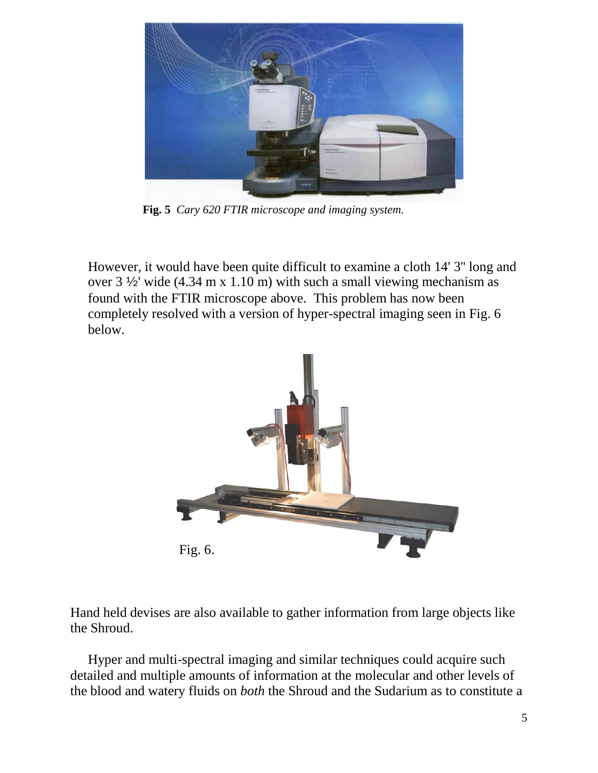

**Fig. 5** *Cary 620 FTIR microscope and imaging system.*

However, it would have been quite difficult to examine a cloth 14' 3'' long and over 3 ½' wide (4.34 m x 1.10 m) with such a small viewing mechanism as found with the FTIR microscope above. This problem has now been completely resolved with a version of hyper-spectral imaging seen in Fig. 6 below.



Hand held devises are also available to gather information from large objects like the Shroud.

Hyper and multi-spectral imaging and similar techniques could acquire such detailed and multiple amounts of information at the molecular and other levels of the blood and watery fluids on *both* the Shroud and the Sudarium as to constitute a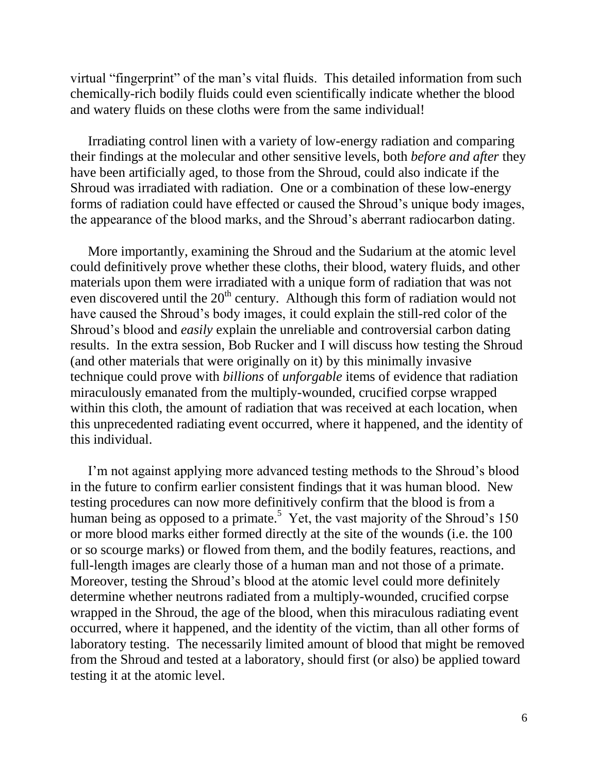virtual "fingerprint" of the man's vital fluids. This detailed information from such chemically-rich bodily fluids could even scientifically indicate whether the blood and watery fluids on these cloths were from the same individual!

Irradiating control linen with a variety of low-energy radiation and comparing their findings at the molecular and other sensitive levels, both *before and after* they have been artificially aged, to those from the Shroud, could also indicate if the Shroud was irradiated with radiation. One or a combination of these low-energy forms of radiation could have effected or caused the Shroud's unique body images, the appearance of the blood marks, and the Shroud's aberrant radiocarbon dating.

More importantly, examining the Shroud and the Sudarium at the atomic level could definitively prove whether these cloths, their blood, watery fluids, and other materials upon them were irradiated with a unique form of radiation that was not even discovered until the  $20<sup>th</sup>$  century. Although this form of radiation would not have caused the Shroud's body images, it could explain the still-red color of the Shroud's blood and *easily* explain the unreliable and controversial carbon dating results. In the extra session, Bob Rucker and I will discuss how testing the Shroud (and other materials that were originally on it) by this minimally invasive technique could prove with *billions* of *unforgable* items of evidence that radiation miraculously emanated from the multiply-wounded, crucified corpse wrapped within this cloth, the amount of radiation that was received at each location, when this unprecedented radiating event occurred, where it happened, and the identity of this individual.

I'm not against applying more advanced testing methods to the Shroud's blood in the future to confirm earlier consistent findings that it was human blood. New testing procedures can now more definitively confirm that the blood is from a human being as opposed to a primate.<sup>5</sup> Yet, the vast majority of the Shroud's 150 or more blood marks either formed directly at the site of the wounds (i.e. the 100 or so scourge marks) or flowed from them, and the bodily features, reactions, and full-length images are clearly those of a human man and not those of a primate. Moreover, testing the Shroud's blood at the atomic level could more definitely determine whether neutrons radiated from a multiply-wounded, crucified corpse wrapped in the Shroud, the age of the blood, when this miraculous radiating event occurred, where it happened, and the identity of the victim, than all other forms of laboratory testing. The necessarily limited amount of blood that might be removed from the Shroud and tested at a laboratory, should first (or also) be applied toward testing it at the atomic level.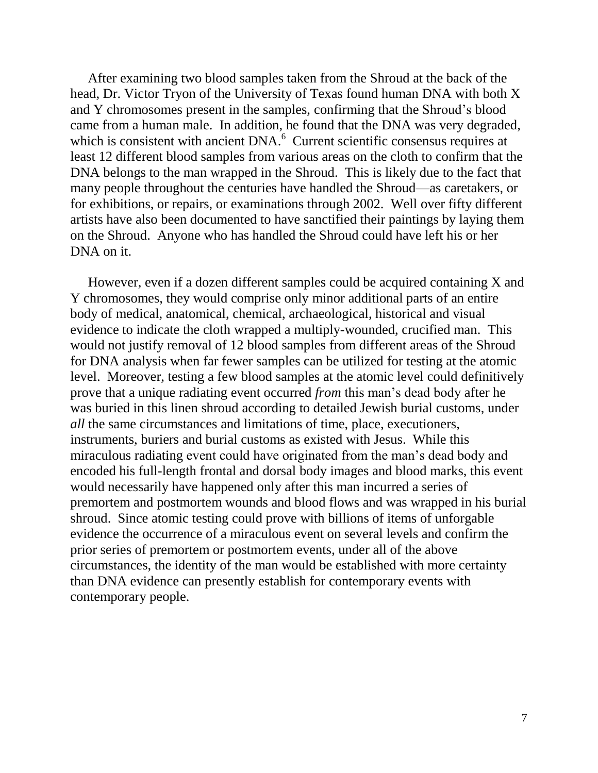After examining two blood samples taken from the Shroud at the back of the head, Dr. Victor Tryon of the University of Texas found human DNA with both X and Y chromosomes present in the samples, confirming that the Shroud's blood came from a human male. In addition, he found that the DNA was very degraded, which is consistent with ancient DNA.<sup>6</sup> Current scientific consensus requires at least 12 different blood samples from various areas on the cloth to confirm that the DNA belongs to the man wrapped in the Shroud. This is likely due to the fact that many people throughout the centuries have handled the Shroud—as caretakers, or for exhibitions, or repairs, or examinations through 2002. Well over fifty different artists have also been documented to have sanctified their paintings by laying them on the Shroud. Anyone who has handled the Shroud could have left his or her DNA on it.

However, even if a dozen different samples could be acquired containing X and Y chromosomes, they would comprise only minor additional parts of an entire body of medical, anatomical, chemical, archaeological, historical and visual evidence to indicate the cloth wrapped a multiply-wounded, crucified man. This would not justify removal of 12 blood samples from different areas of the Shroud for DNA analysis when far fewer samples can be utilized for testing at the atomic level. Moreover, testing a few blood samples at the atomic level could definitively prove that a unique radiating event occurred *from* this man's dead body after he was buried in this linen shroud according to detailed Jewish burial customs, under *all* the same circumstances and limitations of time, place, executioners, instruments, buriers and burial customs as existed with Jesus. While this miraculous radiating event could have originated from the man's dead body and encoded his full-length frontal and dorsal body images and blood marks, this event would necessarily have happened only after this man incurred a series of premortem and postmortem wounds and blood flows and was wrapped in his burial shroud. Since atomic testing could prove with billions of items of unforgable evidence the occurrence of a miraculous event on several levels and confirm the prior series of premortem or postmortem events, under all of the above circumstances, the identity of the man would be established with more certainty than DNA evidence can presently establish for contemporary events with contemporary people.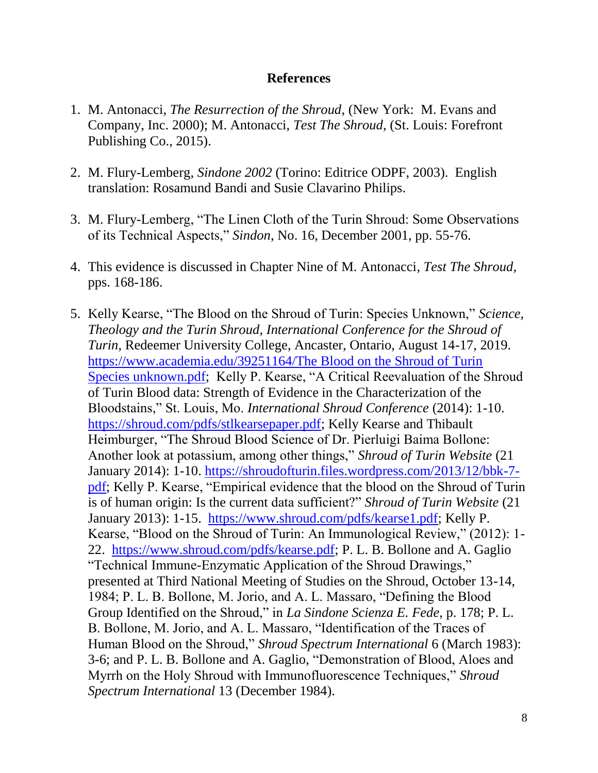## **References**

- 1. M. Antonacci, *The Resurrection of the Shroud*, (New York: M. Evans and Company, Inc. 2000); M. Antonacci, *Test The Shroud*, (St. Louis: Forefront Publishing Co., 2015).
- 2. M. Flury-Lemberg, *Sindone 2002* (Torino: Editrice ODPF, 2003). English translation: Rosamund Bandi and Susie Clavarino Philips.
- 3. M. Flury-Lemberg, "The Linen Cloth of the Turin Shroud: Some Observations of its Technical Aspects," *Sindon*, No. 16, December 2001, pp. 55-76.
- 4. This evidence is discussed in Chapter Nine of M. Antonacci, *Test The Shroud*, pps. 168-186.
- 5. Kelly Kearse, "The Blood on the Shroud of Turin: Species Unknown," *Science, Theology and the Turin Shroud*, *International Conference for the Shroud of Turin*, Redeemer University College, Ancaster, Ontario, August 14-17, 2019. [https://www.academia.edu/39251164/The Blood on the Shroud of Turin](https://www.academia.edu/39251164/The%20Blood%20on%20the%20Shroud%20of%20Turin%20Species%20unknown.pdf)  [Species unknown.pdf;](https://www.academia.edu/39251164/The%20Blood%20on%20the%20Shroud%20of%20Turin%20Species%20unknown.pdf) Kelly P. Kearse, "A Critical Reevaluation of the Shroud of Turin Blood data: Strength of Evidence in the Characterization of the Bloodstains," St. Louis, Mo. *International Shroud Conference* (2014): 1-10. [https://shroud.com/pdfs/stlkearsepaper.pdf;](https://shroud.com/pdfs/stlkearsepaper.pdf) Kelly Kearse and Thibault Heimburger, "The Shroud Blood Science of Dr. Pierluigi Baima Bollone: Another look at potassium, among other things," *Shroud of Turin Website* (21 January 2014): 1-10. [https://shroudofturin.files.wordpress.com/2013/12/bbk-7](https://shroudofturin.files.wordpress.com/2013/12/bbk-7-pdf) [pdf;](https://shroudofturin.files.wordpress.com/2013/12/bbk-7-pdf) Kelly P. Kearse, "Empirical evidence that the blood on the Shroud of Turin is of human origin: Is the current data sufficient?" *Shroud of Turin Website* (21 January 2013): 1-15. [https://www.shroud.com/pdfs/kearse1.pdf;](https://www.shroud.com/pdfs/kearse1.pdf) Kelly P. Kearse, "Blood on the Shroud of Turin: An Immunological Review," (2012): 1- 22. [https://www.shroud.com/pdfs/kearse.pdf;](https://www.shroud.com/pdfs/kearse.pdf) P. L. B. Bollone and A. Gaglio "Technical Immune-Enzymatic Application of the Shroud Drawings," presented at Third National Meeting of Studies on the Shroud, October 13-14, 1984; P. L. B. Bollone, M. Jorio, and A. L. Massaro, "Defining the Blood Group Identified on the Shroud," in *La Sindone Scienza E. Fede*, p. 178; P. L. B. Bollone, M. Jorio, and A. L. Massaro, "Identification of the Traces of Human Blood on the Shroud," *Shroud Spectrum International* 6 (March 1983): 3-6; and P. L. B. Bollone and A. Gaglio, "Demonstration of Blood, Aloes and Myrrh on the Holy Shroud with Immunofluorescence Techniques," *Shroud Spectrum International* 13 (December 1984).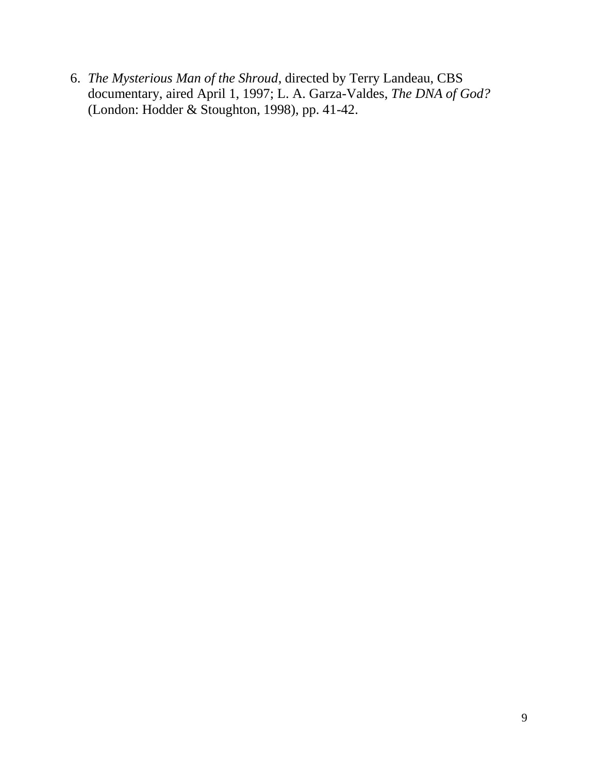6. *The Mysterious Man of the Shroud*, directed by Terry Landeau, CBS documentary, aired April 1, 1997; L. A. Garza-Valdes, *The DNA of God?* (London: Hodder & Stoughton, 1998), pp. 41-42.